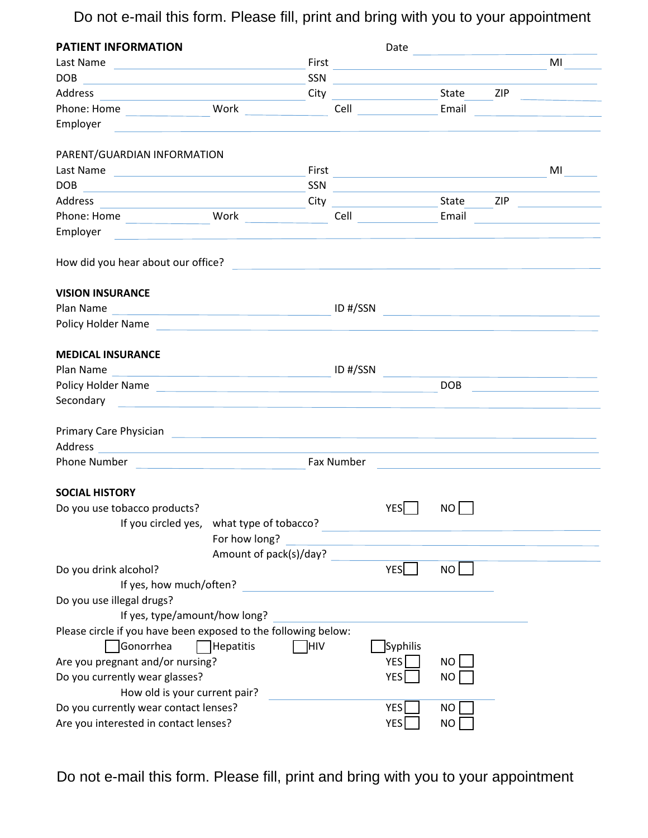Do not e-mail this form. Please fill, print and bring with you to your appointment

| <b>PATIENT INFORMATION</b>                                                                                                                                                                                                           |                                           |       |            | Date                                                                       | the contract of the contract of the contract of |     |    |
|--------------------------------------------------------------------------------------------------------------------------------------------------------------------------------------------------------------------------------------|-------------------------------------------|-------|------------|----------------------------------------------------------------------------|-------------------------------------------------|-----|----|
| Last Name                                                                                                                                                                                                                            |                                           | First |            | the control of the control of the control of the control of the control of |                                                 |     | MI |
|                                                                                                                                                                                                                                      |                                           | SSN   |            |                                                                            |                                                 |     |    |
| Address                                                                                                                                                                                                                              |                                           | City  |            | <u>State</u>                                                               |                                                 | ZIP |    |
| Phone: Home Work Nork                                                                                                                                                                                                                |                                           |       |            | Cell Email                                                                 |                                                 |     |    |
| Employer                                                                                                                                                                                                                             |                                           |       |            |                                                                            |                                                 |     |    |
| PARENT/GUARDIAN INFORMATION                                                                                                                                                                                                          |                                           |       |            |                                                                            |                                                 |     |    |
|                                                                                                                                                                                                                                      |                                           | First |            |                                                                            |                                                 |     | MI |
| DOB<br><u> 1989 - Jan Barnett, fransk politiker (d. 1989)</u>                                                                                                                                                                        |                                           | SSN   |            | <u> 1980 - Jan Alexandri, fizikar matematika (h. 1980).</u>                |                                                 |     |    |
| Address<br><u> 1990 - Johann Barbara, martxa eta politikar</u>                                                                                                                                                                       |                                           |       |            |                                                                            |                                                 | ZIP |    |
|                                                                                                                                                                                                                                      |                                           |       |            | <b>Cell Cell Cell</b>                                                      | Email                                           |     |    |
| Employer                                                                                                                                                                                                                             | <u> 1980 - Johann Barbara, martin a</u>   |       |            |                                                                            |                                                 |     |    |
| How did you hear about our office?<br>The management of the contract of the contract of the contract of the contract of the contract of the contract of the contract of the contract of the contract of the contract of the cont     |                                           |       |            |                                                                            |                                                 |     |    |
| <b>VISION INSURANCE</b>                                                                                                                                                                                                              |                                           |       |            |                                                                            |                                                 |     |    |
| Plan Name                                                                                                                                                                                                                            |                                           |       | ID #/SSN   | <u> 1980 - Jan Barat, amerikan per</u>                                     |                                                 |     |    |
| Policy Holder Name and the contract of the contract of the contract of the contract of the contract of the contract of the contract of the contract of the contract of the contract of the contract of the contract of the con       |                                           |       |            |                                                                            |                                                 |     |    |
| <b>MEDICAL INSURANCE</b>                                                                                                                                                                                                             |                                           |       |            |                                                                            |                                                 |     |    |
|                                                                                                                                                                                                                                      |                                           |       |            |                                                                            |                                                 |     |    |
| Policy Holder Name                                                                                                                                                                                                                   |                                           |       |            |                                                                            | <b>DOB</b>                                      |     |    |
| Secondary <b>Example 2018</b> Secondary                                                                                                                                                                                              |                                           |       |            |                                                                            |                                                 |     |    |
| Primary Care Physician <b>Care and Care and Care and Care and Care and Care and Care and Care and Care and Care and Care and Care and Care and Care and Care and Care and Care and Care and Care and Care and Care and Care and </b> |                                           |       |            |                                                                            |                                                 |     |    |
|                                                                                                                                                                                                                                      |                                           |       |            |                                                                            |                                                 |     |    |
| Phone Number Department of the Number                                                                                                                                                                                                |                                           |       | Fax Number |                                                                            |                                                 |     |    |
| <b>SOCIAL HISTORY</b>                                                                                                                                                                                                                |                                           |       |            |                                                                            |                                                 |     |    |
| Do you use tobacco products?                                                                                                                                                                                                         |                                           |       |            | <b>YES</b>                                                                 | NO                                              |     |    |
|                                                                                                                                                                                                                                      | If you circled yes, what type of tobacco? |       |            |                                                                            |                                                 |     |    |
|                                                                                                                                                                                                                                      | For how long?                             |       |            |                                                                            |                                                 |     |    |
|                                                                                                                                                                                                                                      | Amount of pack(s)/day?                    |       |            |                                                                            |                                                 |     |    |
| Do you drink alcohol?                                                                                                                                                                                                                |                                           |       |            | YES                                                                        | NO                                              |     |    |
| If yes, how much/often?                                                                                                                                                                                                              |                                           |       |            |                                                                            |                                                 |     |    |
| Do you use illegal drugs?<br>If yes, type/amount/how long?                                                                                                                                                                           |                                           |       |            |                                                                            |                                                 |     |    |
| Please circle if you have been exposed to the following below:                                                                                                                                                                       |                                           |       |            |                                                                            |                                                 |     |    |
| Gonorrhea                                                                                                                                                                                                                            | Hepatitis                                 | ]HIV  |            | Syphilis                                                                   |                                                 |     |    |
| Are you pregnant and/or nursing?                                                                                                                                                                                                     |                                           |       |            | <b>YES</b>                                                                 | NO                                              |     |    |
| Do you currently wear glasses?                                                                                                                                                                                                       |                                           |       |            | <b>YES</b>                                                                 | <b>NO</b>                                       |     |    |
| How old is your current pair?                                                                                                                                                                                                        |                                           |       |            |                                                                            |                                                 |     |    |
| Do you currently wear contact lenses?                                                                                                                                                                                                |                                           |       |            | <b>YES</b>                                                                 | <b>NO</b>                                       |     |    |
| Are you interested in contact lenses?                                                                                                                                                                                                |                                           |       |            | <b>YES</b>                                                                 | NO                                              |     |    |

Do not e-mail this form. Please fill, print and bring with you to your appointment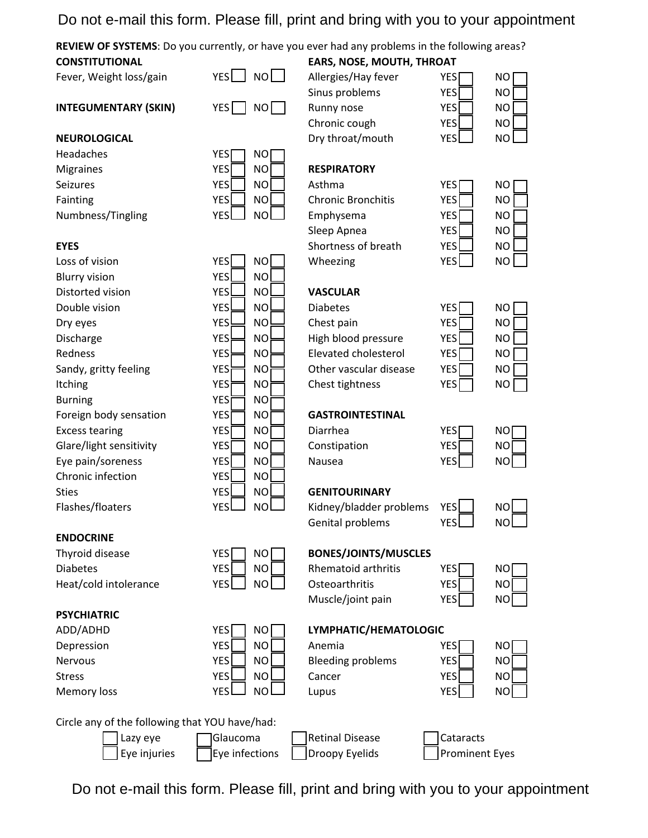# Do not e-mail this form. Please fill, print and bring with you to your appointment

**REVIEW OF SYSTEMS**: Do you currently, or have you ever had any problems in the following areas? **CONSTITUTIONAL EARS, NOSE, MOUTH, THROAT**

Fever, Weight loss/gain YES  $\Box$  NO

**INTEGUMENTARY (SKIN)** YES NO

### **NEUROLOGICAL**

Headaches Headaches YES<br>
Migraines YES<br>
Seizures YES<br>
Fainting YES<br>
NO Asthma<br>
Tennis YES<br>
NO Asthma<br>
NO Asthma<br>
Tennis YES<br>
NO Asthma<br>
Tennis Chronic Bronc<br>
Tennis YES<br>
NO Emphysema

| YES        | NΟ        |
|------------|-----------|
| <b>YES</b> | NO        |
| <b>YES</b> | <b>NO</b> |
| <b>YES</b> | NC        |
| YES        | N         |

| Allergies/Hay fever | <b>YES</b> | NO        |
|---------------------|------------|-----------|
| Sinus problems      | <b>YES</b> | <b>NO</b> |
| Runny nose          | <b>YES</b> | <b>NO</b> |
| Chronic cough       | <b>YES</b> | NO        |
| Dry throat/mouth    | <b>VEC</b> |           |

Seizures YES NO Asthma YES NO Fainting The YES NO Chronic Bronchitis YES Numbness/Tingling YES NO Emphysema YES Sleep Apnea YES **EYES** Shortness of breath YES Loss of vision YES NO Wheezing YES YES

|   | ΝO        |
|---|-----------|
|   | <b>NO</b> |
| í | <b>NO</b> |
|   | <b>NO</b> |
|   | <b>NO</b> |
|   |           |

| ; | <b>NO</b> |  |
|---|-----------|--|
| ; | <b>NO</b> |  |
| ; | <b>NO</b> |  |
| ; | <b>NO</b> |  |
| ; | <b>NO</b> |  |
| ; | NO        |  |

## Foreign body sensation **YES** NO **GASTROINTESTINAL**

## Sties **The Sties Sties Sties Area Results And Area Area Results Area Results Area Results Area Results Area Results**

Flashes/floaters **YES** YES NO Kidney/bladder problems YES Genital problems YES

| NO |  |
|----|--|
| NO |  |
|    |  |

## Thyroid disease **YES** NO **BONES/JOINTS/MUSCLES**

| <b>Diabetes</b>       | <b>YES</b><br>NO I | <b>Rhematoid arthritis</b> | YESI | NO |
|-----------------------|--------------------|----------------------------|------|----|
| Heat/cold intolerance | YES I<br>NOL L     | Osteoarthritis             | YESI | NO |
|                       |                    | Muscle/joint pain          | YESI | NO |

### ADD/ADHD YES NO **LYMPHATIC/HEMATOLOGIC**

| Depression     | <b>NO</b><br>YESI | Anemia                   | YES              | NO        |
|----------------|-------------------|--------------------------|------------------|-----------|
| <b>Nervous</b> | <b>NO</b><br>YES  | <b>Bleeding problems</b> | YES              | NO        |
| <b>Stress</b>  | NO I<br>YESI      | Cancer                   | YES <sup>'</sup> | NO        |
| Memory loss    | NO.<br>YFSI       | Lupus                    | YES'             | <b>NO</b> |

| NO        |  |
|-----------|--|
| <b>NO</b> |  |
| <b>NO</b> |  |
| <b>NO</b> |  |

Circle any of the following that YOU have/had:



**ENDOCRINE**

**PSYCHIATRIC**

|  | IGlauco |  |
|--|---------|--|
|  | Eye inf |  |

Lazy eye Glaucoma Retinal Disease Cataracts Eye injuries  $\Box$  Eye infections | Droopy Eyelids | Prominent Eyes

Do not e-mail this form. Please fill, print and bring with you to your appointment